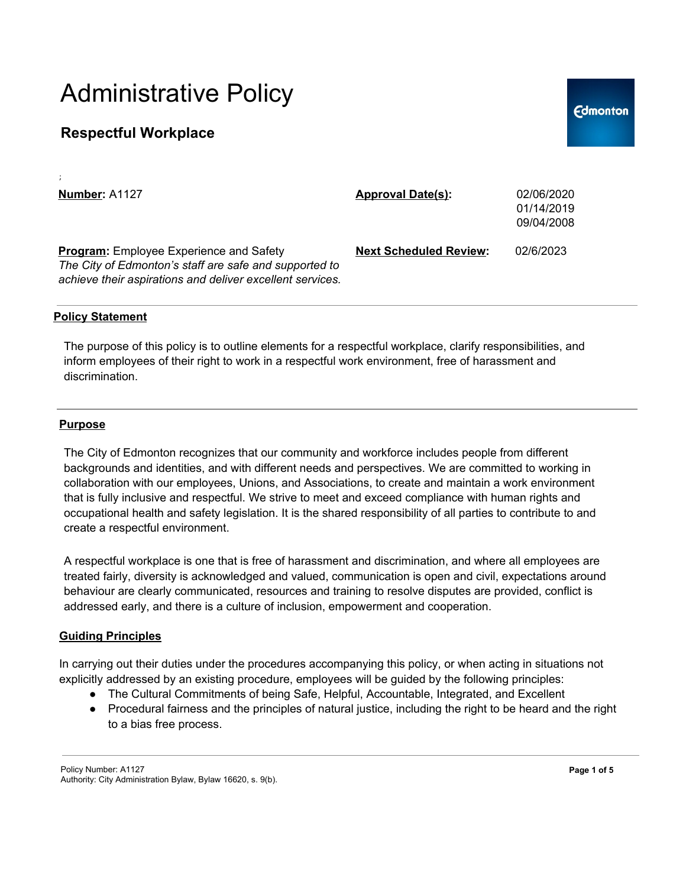## **Respectful Workplace**

| Number: A1127                                                                                                                                                         | <b>Approval Date(s):</b>      | 02/06/2020<br>01/14/2019<br>09/04/2008 |
|-----------------------------------------------------------------------------------------------------------------------------------------------------------------------|-------------------------------|----------------------------------------|
| <b>Program:</b> Employee Experience and Safety<br>The City of Edmonton's staff are safe and supported to<br>achieve their aspirations and deliver excellent services. | <b>Next Scheduled Review:</b> | 02/6/2023                              |

### **Policy Statement**

;

The purpose of this policy is to outline elements for a respectful workplace, clarify responsibilities, and inform employees of their right to work in a respectful work environment, free of harassment and discrimination.

#### **Purpose**

The City of Edmonton recognizes that our community and workforce includes people from different backgrounds and identities, and with different needs and perspectives. We are committed to working in collaboration with our employees, Unions, and Associations, to create and maintain a work environment that is fully inclusive and respectful. We strive to meet and exceed compliance with human rights and occupational health and safety legislation. It is the shared responsibility of all parties to contribute to and create a respectful environment.

A respectful workplace is one that is free of harassment and discrimination, and where all employees are treated fairly, diversity is acknowledged and valued, communication is open and civil, expectations around behaviour are clearly communicated, resources and training to resolve disputes are provided, conflict is addressed early, and there is a culture of inclusion, empowerment and cooperation.

### **Guiding Principles**

In carrying out their duties under the procedures accompanying this policy, or when acting in situations not explicitly addressed by an existing procedure, employees will be guided by the following principles:

- The Cultural Commitments of being Safe, Helpful, Accountable, Integrated, and Excellent
- Procedural fairness and the principles of natural justice, including the right to be heard and the right to a bias free process.

**Edmonton**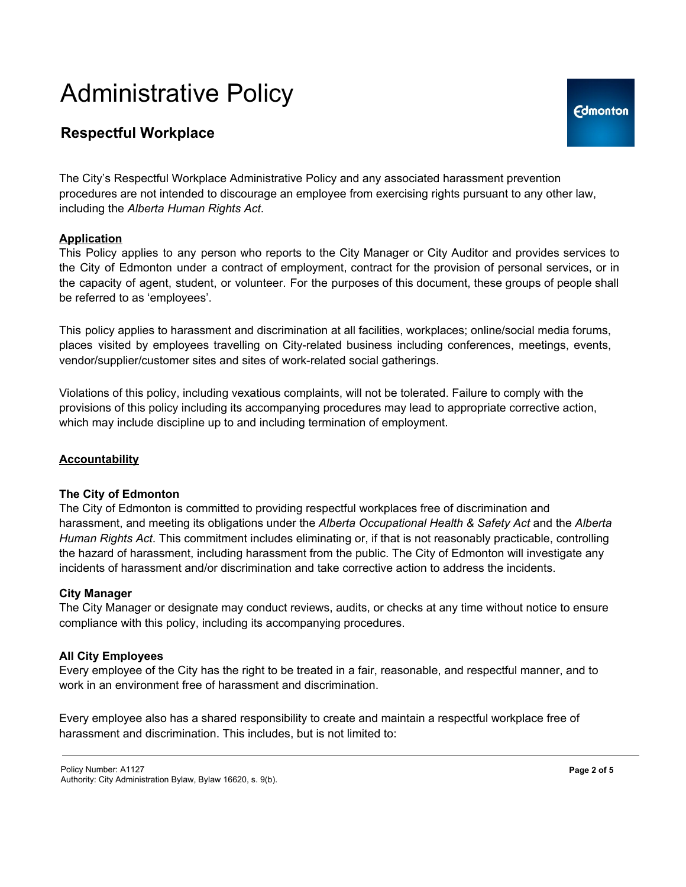# **Respectful Workplace**

The City's Respectful Workplace Administrative Policy and any associated harassment prevention procedures are not intended to discourage an employee from exercising rights pursuant to any other law, including the *Alberta Human Rights Act*.

## **Application**

This Policy applies to any person who reports to the City Manager or City Auditor and provides services to the City of Edmonton under a contract of employment, contract for the provision of personal services, or in the capacity of agent, student, or volunteer. For the purposes of this document, these groups of people shall be referred to as 'employees'.

This policy applies to harassment and discrimination at all facilities, workplaces; online/social media forums, places visited by employees travelling on City-related business including conferences, meetings, events, vendor/supplier/customer sites and sites of work-related social gatherings.

Violations of this policy, including vexatious complaints, will not be tolerated. Failure to comply with the provisions of this policy including its accompanying procedures may lead to appropriate corrective action, which may include discipline up to and including termination of employment.

### **Accountability**

### **The City of Edmonton**

The City of Edmonton is committed to providing respectful workplaces free of discrimination and harassment, and meeting its obligations under the *Alberta Occupational Health & Safety Act* and the *Alberta Human Rights Act*. This commitment includes eliminating or, if that is not reasonably practicable, controlling the hazard of harassment, including harassment from the public. The City of Edmonton will investigate any incidents of harassment and/or discrimination and take corrective action to address the incidents.

#### **City Manager**

The City Manager or designate may conduct reviews, audits, or checks at any time without notice to ensure compliance with this policy, including its accompanying procedures.

### **All City Employees**

Every employee of the City has the right to be treated in a fair, reasonable, and respectful manner, and to work in an environment free of harassment and discrimination.

Every employee also has a shared responsibility to create and maintain a respectful workplace free of harassment and discrimination. This includes, but is not limited to: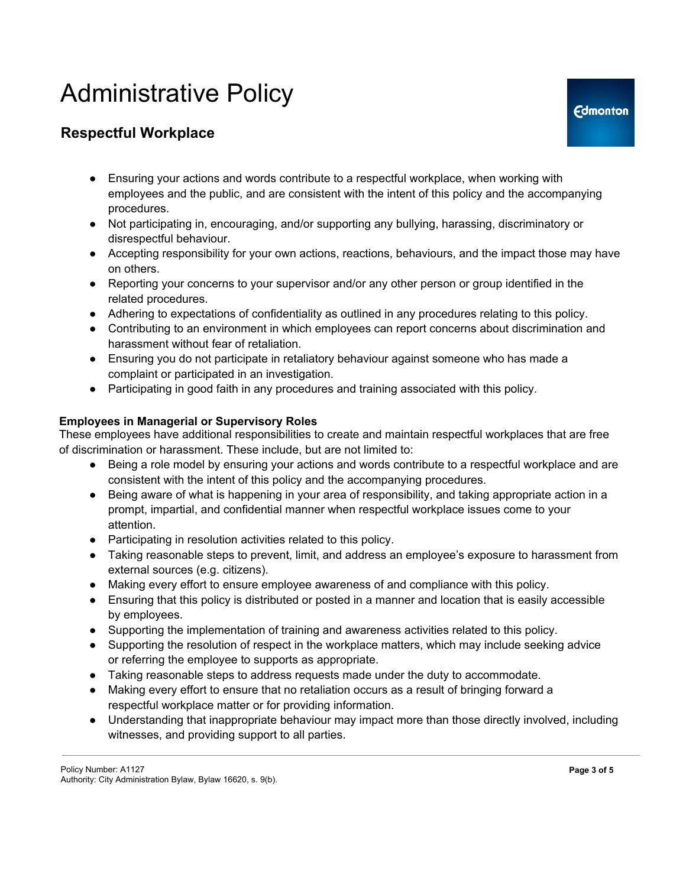# **Respectful Workplace**

- Ensuring your actions and words contribute to a respectful workplace, when working with employees and the public, and are consistent with the intent of this policy and the accompanying procedures.
- Not participating in, encouraging, and/or supporting any bullying, harassing, discriminatory or disrespectful behaviour.
- Accepting responsibility for your own actions, reactions, behaviours, and the impact those may have on others.
- Reporting your concerns to your supervisor and/or any other person or group identified in the related procedures.
- Adhering to expectations of confidentiality as outlined in any procedures relating to this policy.
- Contributing to an environment in which employees can report concerns about discrimination and harassment without fear of retaliation.
- Ensuring you do not participate in retaliatory behaviour against someone who has made a complaint or participated in an investigation.
- Participating in good faith in any procedures and training associated with this policy.

## **Employees in Managerial or Supervisory Roles**

These employees have additional responsibilities to create and maintain respectful workplaces that are free of discrimination or harassment. These include, but are not limited to:

- Being a role model by ensuring your actions and words contribute to a respectful workplace and are consistent with the intent of this policy and the accompanying procedures.
- Being aware of what is happening in your area of responsibility, and taking appropriate action in a prompt, impartial, and confidential manner when respectful workplace issues come to your attention.
- Participating in resolution activities related to this policy.
- Taking reasonable steps to prevent, limit, and address an employee's exposure to harassment from external sources (e.g. citizens).
- Making every effort to ensure employee awareness of and compliance with this policy.
- Ensuring that this policy is distributed or posted in a manner and location that is easily accessible by employees.
- Supporting the implementation of training and awareness activities related to this policy.
- Supporting the resolution of respect in the workplace matters, which may include seeking advice or referring the employee to supports as appropriate.
- Taking reasonable steps to address requests made under the duty to accommodate.
- Making every effort to ensure that no retaliation occurs as a result of bringing forward a respectful workplace matter or for providing information.
- Understanding that inappropriate behaviour may impact more than those directly involved, including witnesses, and providing support to all parties.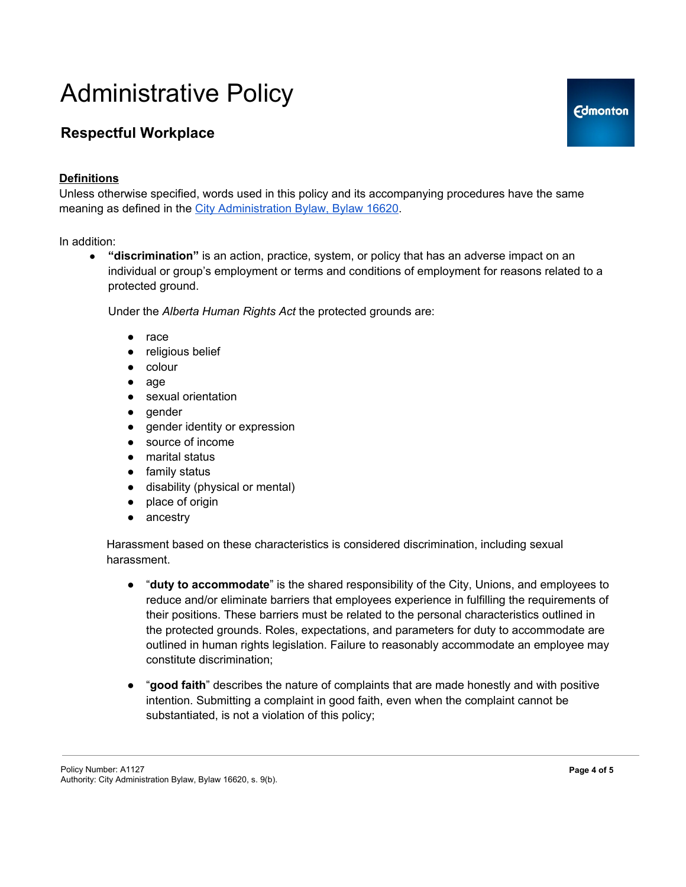# **Respectful Workplace**

## **Definitions**

Unless otherwise specified, words used in this policy and its accompanying procedures have the same meaning as defined in the City Administration Bylaw, Bylaw 16620.

In addition:

● **"discrimination"** is an action, practice, system, or policy that has an adverse impact on an individual or group's employment or terms and conditions of employment for reasons related to a protected ground.

Under the *Alberta Human Rights Act* the protected grounds are:

- race
- religious belief
- colour
- age
- sexual orientation
- gender
- gender identity or expression
- source of income
- marital status
- family status
- disability (physical or mental)
- place of origin
- ancestry

Harassment based on these characteristics is considered discrimination, including sexual harassment.

- "**duty to accommodate**" is the shared responsibility of the City, Unions, and employees to reduce and/or eliminate barriers that employees experience in fulfilling the requirements of their positions. These barriers must be related to the personal characteristics outlined in the protected grounds. Roles, expectations, and parameters for duty to accommodate are outlined in human rights legislation. Failure to reasonably accommodate an employee may constitute discrimination;
- "**good faith**" describes the nature of complaints that are made honestly and with positive intention. Submitting a complaint in good faith, even when the complaint cannot be substantiated, is not a violation of this policy;